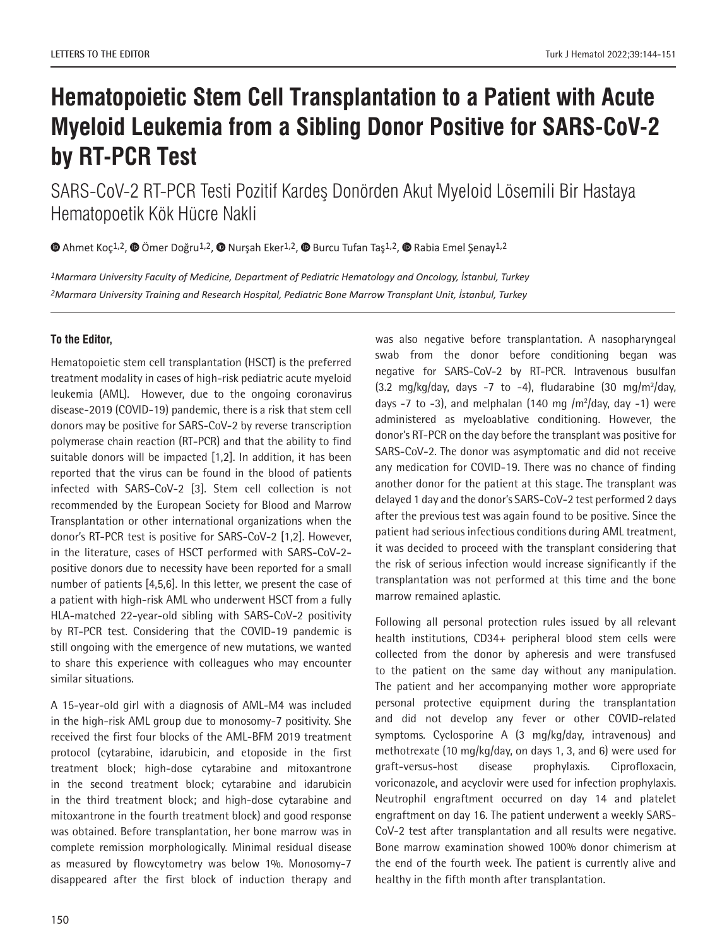## **Hematopoietic Stem Cell Transplantation to a Patient with Acute Myeloid Leukemia from a Sibling Donor Positive for SARS-CoV-2 by RT-PCR Test**

SARS-CoV-2 RT-PCR Testi Pozitif Kardeş Donörden Akut Myeloid Lösemili Bir Hastaya Hematopoetik Kök Hücre Nakli

 $\bullet$ Ahmet Koç<sup>1,2</sup>[,](https://orcid.org/)  $\bullet$  Ömer Doğru<sup>1,2</sup>,  $\bullet$  Nurşah Eker<sup>1,2</sup>,  $\bullet$  Burcu Tufan Taş<sup>1,2</sup>,  $\bullet$  Rabia Emel Şenay<sup>1,2</sup>

*1Marmara University Faculty of Medicine, Department of Pediatric Hematology and Oncology, İstanbul, Turkey 2Marmara University Training and Research Hospital, Pediatric Bone Marrow Transplant Unit, İstanbul, Turkey* 

## **To the Editor,**

Hematopoietic stem cell transplantation (HSCT) is the preferred treatment modality in cases of high-risk pediatric acute myeloid leukemia (AML). However, due to the ongoing coronavirus disease-2019 (COVID-19) pandemic, there is a risk that stem cell donors may be positive for SARS-CoV-2 by reverse transcription polymerase chain reaction (RT-PCR) and that the ability to find suitable donors will be impacted [1,2]. In addition, it has been reported that the virus can be found in the blood of patients infected with SARS-CoV-2 [3]. Stem cell collection is not recommended by the European Society for Blood and Marrow Transplantation or other international organizations when the donor's RT-PCR test is positive for SARS-CoV-2 [1,2]. However, in the literature, cases of HSCT performed with SARS-CoV-2 positive donors due to necessity have been reported for a small number of patients [4,5,6]. In this letter, we present the case of a patient with high-risk AML who underwent HSCT from a fully HLA-matched 22-year-old sibling with SARS-CoV-2 positivity by RT-PCR test. Considering that the COVID-19 pandemic is still ongoing with the emergence of new mutations, we wanted to share this experience with colleagues who may encounter similar situations.

A 15-year-old girl with a diagnosis of AML-M4 was included in the high-risk AML group due to monosomy-7 positivity. She received the first four blocks of the AML-BFM 2019 treatment protocol (cytarabine, idarubicin, and etoposide in the first treatment block; high-dose cytarabine and mitoxantrone in the second treatment block; cytarabine and idarubicin in the third treatment block; and high-dose cytarabine and mitoxantrone in the fourth treatment block) and good response was obtained. Before transplantation, her bone marrow was in complete remission morphologically. Minimal residual disease as measured by flowcytometry was below 1%. Monosomy-7 disappeared after the first block of induction therapy and

was also negative before transplantation. A nasopharyngeal swab from the donor before conditioning began was negative for SARS-CoV-2 by RT-PCR. Intravenous busulfan  $(3.2 \text{ mg/kg/day}, \text{days} -7 \text{to} -4)$ , fludarabine  $(30 \text{ mg/m}^2/\text{day}, \text{days} -7 \text{to} -4)$ days  $-7$  to  $-3$ ), and melphalan (140 mg /m<sup>2</sup>/day, day  $-1$ ) were administered as myeloablative conditioning. However, the donor's RT-PCR on the day before the transplant was positive for SARS-CoV-2. The donor was asymptomatic and did not receive any medication for COVID-19. There was no chance of finding another donor for the patient at this stage. The transplant was delayed 1 day and the donor's SARS-CoV-2 test performed 2 days after the previous test was again found to be positive. Since the patient had serious infectious conditions during AML treatment, it was decided to proceed with the transplant considering that the risk of serious infection would increase significantly if the transplantation was not performed at this time and the bone marrow remained aplastic.

Following all personal protection rules issued by all relevant health institutions, CD34+ peripheral blood stem cells were collected from the donor by apheresis and were transfused to the patient on the same day without any manipulation. The patient and her accompanying mother wore appropriate personal protective equipment during the transplantation and did not develop any fever or other COVID-related symptoms. Cyclosporine A (3 mg/kg/day, intravenous) and methotrexate (10 mg/kg/day, on days 1, 3, and 6) were used for graft-versus-host disease prophylaxis. Ciprofloxacin, voriconazole, and acyclovir were used for infection prophylaxis. Neutrophil engraftment occurred on day 14 and platelet engraftment on day 16. The patient underwent a weekly SARS-CoV-2 test after transplantation and all results were negative. Bone marrow examination showed 100% donor chimerism at the end of the fourth week. The patient is currently alive and healthy in the fifth month after transplantation.